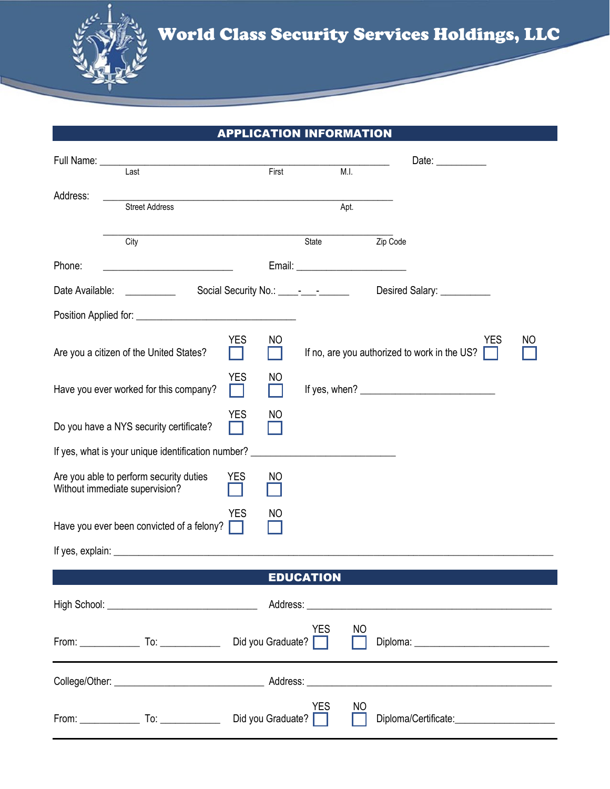

## APPLICATION INFORMATION

|                                                                                        | Last                                                                                                | First                                                                                     |                  | M.I.     | Date: $\frac{1}{2}$                                        |    |
|----------------------------------------------------------------------------------------|-----------------------------------------------------------------------------------------------------|-------------------------------------------------------------------------------------------|------------------|----------|------------------------------------------------------------|----|
|                                                                                        |                                                                                                     |                                                                                           |                  |          |                                                            |    |
| Address:                                                                               | <b>Street Address</b>                                                                               | the control of the control of the control of the control of the control of the control of |                  | Apt.     |                                                            |    |
|                                                                                        |                                                                                                     |                                                                                           |                  |          |                                                            |    |
|                                                                                        | City                                                                                                |                                                                                           | State            | Zip Code |                                                            |    |
| Phone:                                                                                 |                                                                                                     |                                                                                           |                  |          |                                                            |    |
|                                                                                        | Date Available: ___________<br>Social Security No.: _________________<br>Desired Salary: __________ |                                                                                           |                  |          |                                                            |    |
|                                                                                        |                                                                                                     |                                                                                           |                  |          |                                                            |    |
|                                                                                        | Are you a citizen of the United States?                                                             | <b>YES</b><br>NO                                                                          |                  |          | <b>YES</b><br>If no, are you authorized to work in the US? | NO |
| Have you ever worked for this company?                                                 |                                                                                                     | YES<br>NO                                                                                 |                  |          |                                                            |    |
| <b>YES</b><br>NO<br>Do you have a NYS security certificate?                            |                                                                                                     |                                                                                           |                  |          |                                                            |    |
|                                                                                        | If yes, what is your unique identification number?                                                  |                                                                                           |                  |          |                                                            |    |
| Are you able to perform security duties<br>YES<br>NO<br>Without immediate supervision? |                                                                                                     |                                                                                           |                  |          |                                                            |    |
| <b>YES</b><br>NO<br>Have you ever been convicted of a felony?                          |                                                                                                     |                                                                                           |                  |          |                                                            |    |
|                                                                                        |                                                                                                     |                                                                                           |                  |          |                                                            |    |
|                                                                                        |                                                                                                     |                                                                                           | <b>EDUCATION</b> |          |                                                            |    |
|                                                                                        |                                                                                                     |                                                                                           |                  |          |                                                            |    |
|                                                                                        |                                                                                                     |                                                                                           | <b>YES</b>       | NO       |                                                            |    |
|                                                                                        |                                                                                                     |                                                                                           |                  |          |                                                            |    |
|                                                                                        |                                                                                                     |                                                                                           | <b>YES</b>       | NO       |                                                            |    |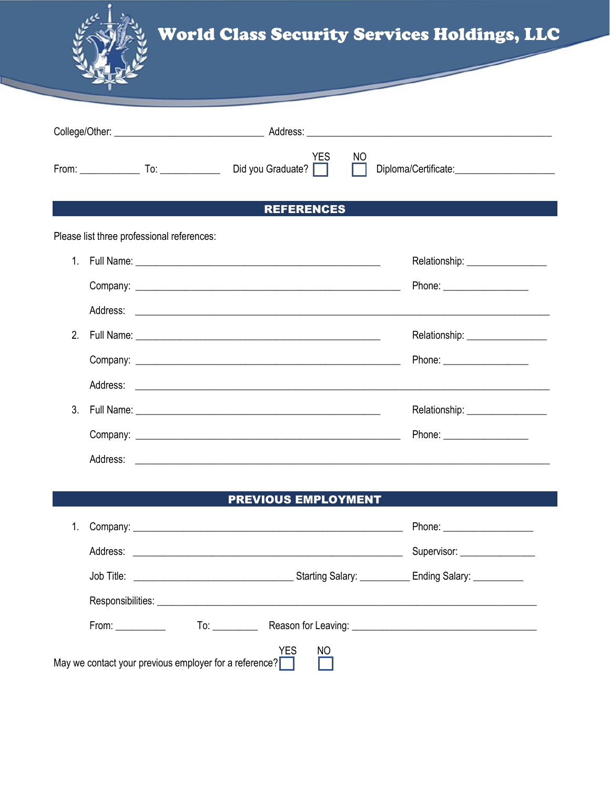

|                   |  |                                            | <b>YES</b> | NO |                                  |  |  |
|-------------------|--|--------------------------------------------|------------|----|----------------------------------|--|--|
| <b>REFERENCES</b> |  |                                            |            |    |                                  |  |  |
|                   |  | Please list three professional references: |            |    |                                  |  |  |
|                   |  |                                            |            |    | Relationship: __________________ |  |  |
|                   |  |                                            |            |    | Phone: ______________________    |  |  |
|                   |  |                                            |            |    |                                  |  |  |
| 2 <sub>1</sub>    |  |                                            |            |    | Relationship: __________________ |  |  |
|                   |  |                                            |            |    | Phone: ______________________    |  |  |
|                   |  |                                            |            |    |                                  |  |  |
| $3_{\cdot}$       |  |                                            |            |    | Relationship: __________________ |  |  |
|                   |  |                                            |            |    |                                  |  |  |
|                   |  |                                            |            |    |                                  |  |  |

## **PREVIOUS EMPLOYMENT**

|                                                                            |                                                                                                                                                                                                                                | Phone: ______________________       |  |  |  |
|----------------------------------------------------------------------------|--------------------------------------------------------------------------------------------------------------------------------------------------------------------------------------------------------------------------------|-------------------------------------|--|--|--|
|                                                                            |                                                                                                                                                                                                                                | Supervisor: <u>________________</u> |  |  |  |
|                                                                            |                                                                                                                                                                                                                                |                                     |  |  |  |
|                                                                            |                                                                                                                                                                                                                                |                                     |  |  |  |
|                                                                            | From: The contract of the contract of the contract of the contract of the contract of the contract of the contract of the contract of the contract of the contract of the contract of the contract of the contract of the cont |                                     |  |  |  |
| <b>YES</b><br>NO<br>May we contact your previous employer for a reference? |                                                                                                                                                                                                                                |                                     |  |  |  |